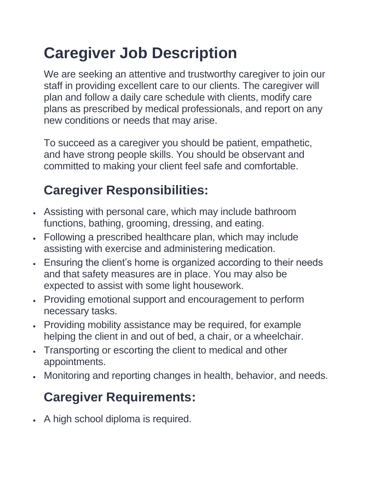## **Caregiver Job Description**

We are seeking an attentive and trustworthy caregiver to join our staff in providing excellent care to our clients. The caregiver will plan and follow a daily care schedule with clients, modify care plans as prescribed by medical professionals, and report on any new conditions or needs that may arise.

To succeed as a caregiver you should be patient, empathetic, and have strong people skills. You should be observant and committed to making your client feel safe and comfortable.

## **Caregiver Responsibilities:**

- Assisting with personal care, which may include bathroom functions, bathing, grooming, dressing, and eating.
- Following a prescribed healthcare plan, which may include assisting with exercise and administering medication.
- Ensuring the client's home is organized according to their needs and that safety measures are in place. You may also be expected to assist with some light housework.
- Providing emotional support and encouragement to perform necessary tasks.
- Providing mobility assistance may be required, for example helping the client in and out of bed, a chair, or a wheelchair.
- Transporting or escorting the client to medical and other appointments.
- Monitoring and reporting changes in health, behavior, and needs.

## **Caregiver Requirements:**

• A high school diploma is required.